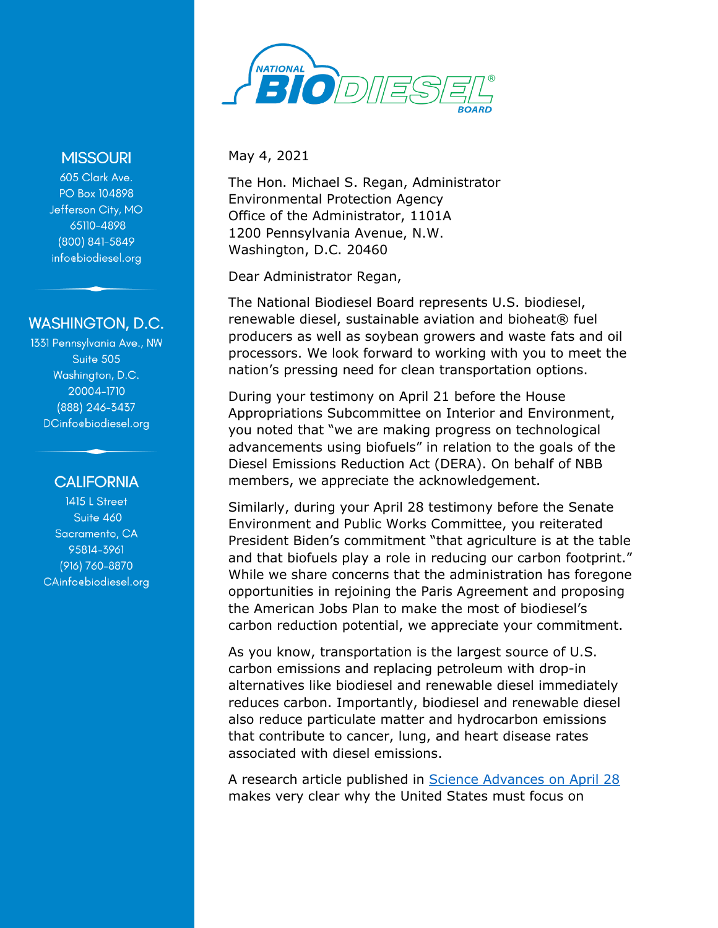

**MISSOURI** 

605 Clark Ave. PO Box 104898 Jefferson City, MO 65110-4898 (800) 841-5849 info@biodiesel.org

## **WASHINGTON, D.C.**

1331 Pennsylvania Ave., NW Suite 505 Washington, D.C. 20004-1710 (888) 246-3437 DCinfocbiodiesel.org

## **CALIFORNIA**

1415 L Street Suite 460 Sacramento, CA 95814-3961 (916) 760-8870 CAinfocbiodiesel.org May 4, 2021

The Hon. Michael S. Regan, Administrator Environmental Protection Agency Office of the Administrator, 1101A 1200 Pennsylvania Avenue, N.W. Washington, D.C. 20460

Dear Administrator Regan,

The National Biodiesel Board represents U.S. biodiesel, renewable diesel, sustainable aviation and bioheat<sup>®</sup> fuel producers as well as soybean growers and waste fats and oil processors. We look forward to working with you to meet the nation's pressing need for clean transportation options.

During your testimony on April 21 before the House Appropriations Subcommittee on Interior and Environment, you noted that "we are making progress on technological advancements using biofuels" in relation to the goals of the Diesel Emissions Reduction Act (DERA). On behalf of NBB members, we appreciate the acknowledgement.

Similarly, during your April 28 testimony before the Senate Environment and Public Works Committee, you reiterated President Biden's commitment "that agriculture is at the table and that biofuels play a role in reducing our carbon footprint." While we share concerns that the administration has foregone opportunities in rejoining the Paris Agreement and proposing the American Jobs Plan to make the most of biodiesel's carbon reduction potential, we appreciate your commitment.

As you know, transportation is the largest source of U.S. carbon emissions and replacing petroleum with drop-in alternatives like biodiesel and renewable diesel immediately reduces carbon. Importantly, biodiesel and renewable diesel also reduce particulate matter and hydrocarbon emissions that contribute to cancer, lung, and heart disease rates associated with diesel emissions.

A research article published in [Science Advances on April 28](https://advances.sciencemag.org/content/7/18/eabf4491) makes very clear why the United States must focus on